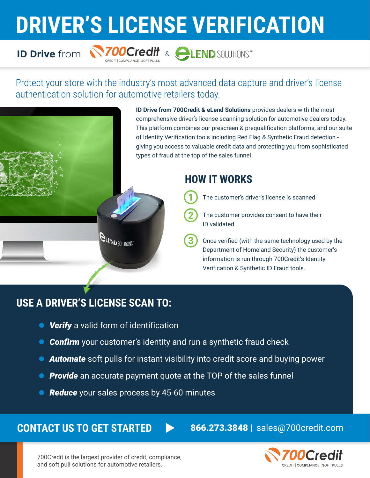# **DRIVER'S LICENSE VERIFICATION**

## **ID Drive** from



## Protect your store with the industry's most advanced data capture and driver's license authentication solution for automotive retailers today.

**ID Drive from 700Credit & eLend Solutions** provides dealers with the most comprehensive driver's license scanning solution for automotive dealers today. This platform combines our prescreen & prequalification platforms, and our suite of Identity Verification tools including Red Flag & Synthetic Fraud detection giving you access to valuable credit data and protecting you from sophisticated types of fraud at the top of the sales funnel.

## **HOW IT WORKS**

The customer's driver's license is scanned

- The customer provides consent to have their ID validated
- Once verified (with the same technology used by the Department of Homeland Security) the customer's information is run through 700Credit's Identity Verification & Synthetic ID Fraud tools.

## **USE A DRIVER'S LICENSE SCAN TO:**

*Verify* a valid form of identification

**QUEND SOLUTIONS** 

- *Confirm* your customer's identity and run a synthetic fraud check  $\bullet$
- *Automate* soft pulls for instant visibility into credit score and buying power
- *Provide* an accurate payment quote at the TOP of the sales funnel
- *Reduce* your sales process by 45-60 minutes

## **CONTACT US TO GET STARTED**

866.273.3848 | sales@700credit.com



700Credit is the largest provider of credit, compliance, and soft pull solutions for automotive retailers.